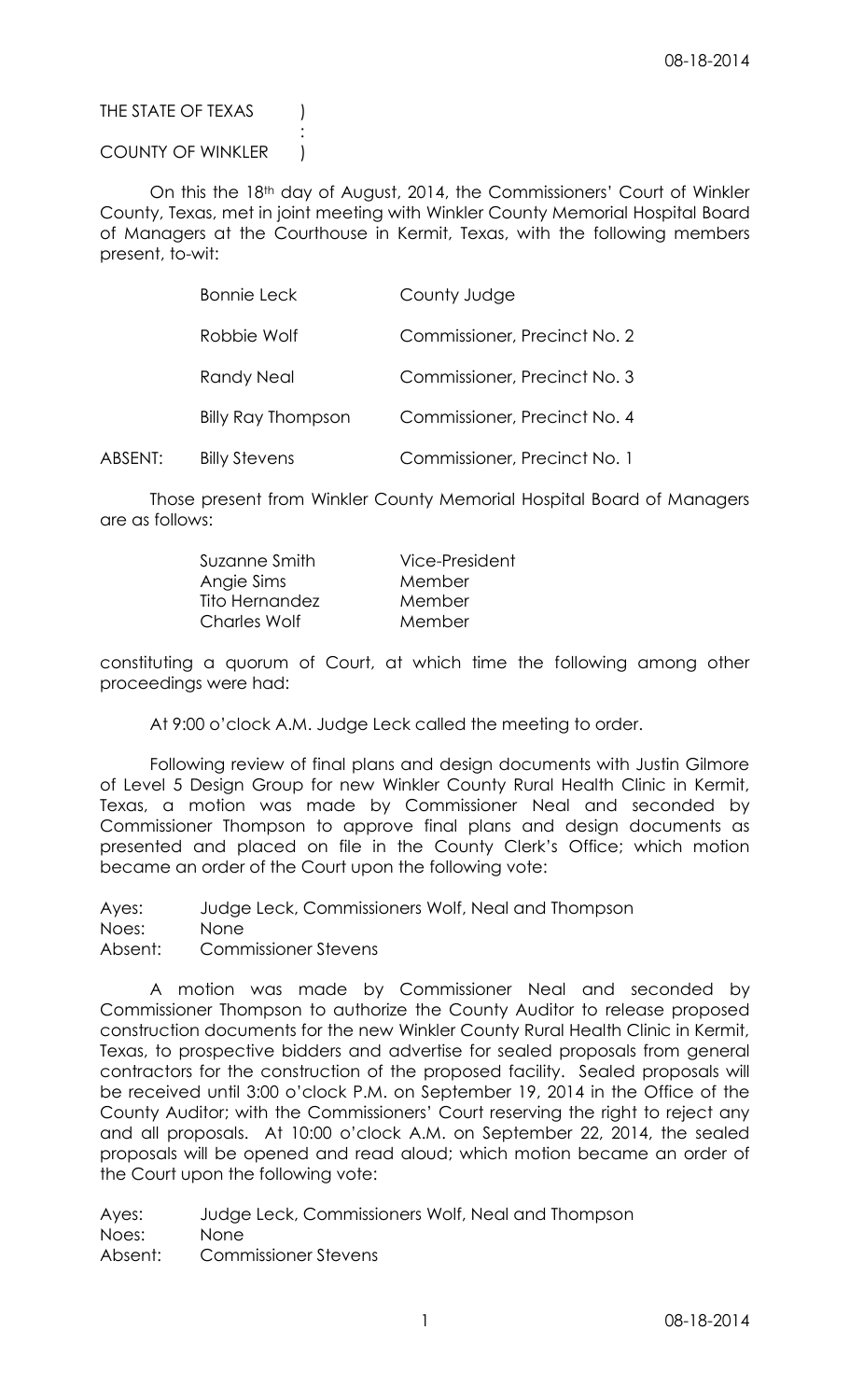THE STATE OF TEXAS (

## COUNTY OF WINKLER )

:

On this the 18th day of August, 2014, the Commissioners' Court of Winkler County, Texas, met in joint meeting with Winkler County Memorial Hospital Board of Managers at the Courthouse in Kermit, Texas, with the following members present, to-wit:

|         | <b>Bonnie Leck</b>        | County Judge                 |
|---------|---------------------------|------------------------------|
|         | Robbie Wolf               | Commissioner, Precinct No. 2 |
|         | <b>Randy Neal</b>         | Commissioner, Precinct No. 3 |
|         | <b>Billy Ray Thompson</b> | Commissioner, Precinct No. 4 |
| ABSENT: | <b>Billy Stevens</b>      | Commissioner, Precinct No. 1 |

Those present from Winkler County Memorial Hospital Board of Managers are as follows:

| Suzanne Smith       | Vice-President |
|---------------------|----------------|
| Angie Sims          | Member         |
| Tito Hernandez      | Member         |
| <b>Charles Wolf</b> | Member         |

constituting a quorum of Court, at which time the following among other proceedings were had:

At 9:00 o'clock A.M. Judge Leck called the meeting to order.

Following review of final plans and design documents with Justin Gilmore of Level 5 Design Group for new Winkler County Rural Health Clinic in Kermit, Texas, a motion was made by Commissioner Neal and seconded by Commissioner Thompson to approve final plans and design documents as presented and placed on file in the County Clerk's Office; which motion became an order of the Court upon the following vote:

Ayes: Judge Leck, Commissioners Wolf, Neal and Thompson Noes: None Absent: Commissioner Stevens

A motion was made by Commissioner Neal and seconded by Commissioner Thompson to authorize the County Auditor to release proposed construction documents for the new Winkler County Rural Health Clinic in Kermit, Texas, to prospective bidders and advertise for sealed proposals from general contractors for the construction of the proposed facility. Sealed proposals will be received until 3:00 o'clock P.M. on September 19, 2014 in the Office of the County Auditor; with the Commissioners' Court reserving the right to reject any and all proposals. At 10:00 o'clock A.M. on September 22, 2014, the sealed proposals will be opened and read aloud; which motion became an order of the Court upon the following vote:

Ayes: Judge Leck, Commissioners Wolf, Neal and Thompson Noes: None Absent: Commissioner Stevens